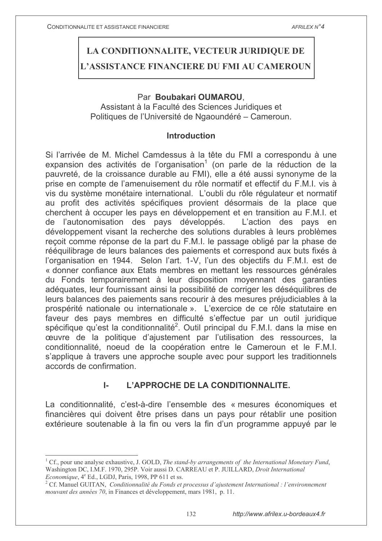# LA CONDITIONNALITE, VECTEUR JURIDIQUE DE L'ASSISTANCE FINANCIERE DU FMI AU CAMEROUN

### Par Boubakari OUMAROU.

Assistant à la Faculté des Sciences Juridiques et Politiques de l'Université de Ngaoundéré – Cameroun.

### **Introduction**

Si l'arrivée de M. Michel Camdessus à la tête du FMI a correspondu à une expansion des activités de l'organisation<sup>1</sup> (on parle de la réduction de la pauvreté, de la croissance durable au FMI), elle a été aussi synonyme de la prise en compte de l'amenuisement du rôle normatif et effectif du F.M.I. vis à vis du système monétaire international. L'oubli du rôle régulateur et normatif au profit des activités spécifiques provient désormais de la place que cherchent à occuper les pays en développement et en transition au F.M.I. et de l'autonomisation des pays développés. L'action des pays en développement visant la recherche des solutions durables à leurs problèmes recoit comme réponse de la part du F.M.I. le passage obligé par la phase de rééquilibrage de leurs balances des paiements et correspond aux buts fixés à l'organisation en 1944. Selon l'art. 1-V, l'un des objectifs du F.M.I. est de « donner confiance aux Etats membres en mettant les ressources générales du Fonds temporairement à leur disposition moyennant des garanties adéquates, leur fournissant ainsi la possibilité de corriger les déséquilibres de leurs balances des paiements sans recourir à des mesures préjudiciables à la prospérité nationale ou internationale ». L'exercice de ce rôle statutaire en faveur des pays membres en difficulté s'effectue par un outil juridique spécifique qu'est la conditionnalité<sup>2</sup>. Outil principal du F.M.I. dans la mise en œuvre de la politique d'ajustement par l'utilisation des ressources. la conditionnalité, noeud de la coopération entre le Cameroun et le F.M.I. s'applique à travers une approche souple avec pour support les traditionnels accords de confirmation.

#### L. L'APPROCHE DE LA CONDITIONNALITE.

La conditionnalité, c'est-à-dire l'ensemble des « mesures économiques et financières qui doivent être prises dans un pays pour rétablir une position extérieure soutenable à la fin ou vers la fin d'un programme appuyé par le

<sup>&</sup>lt;sup>1</sup> Cf., pour une analyse exhaustive, J. GOLD, The stand-by arrangements of the International Monetary Fund, Washington DC, I.M.F. 1970, 295P. Voir aussi D. CARREAU et P. JUILLARD, Droit International *Economique*, 4<sup>e</sup> Ed., LGDJ, Paris, 1998, PP 611 et ss.

<sup>&</sup>lt;sup>2</sup> Cf. Manuel GUITAN, *Conditionnalité du Fonds et processus d'ajustement International : l'environnement* mouvant des années 70, in Finances et développement, mars 1981, p. 11.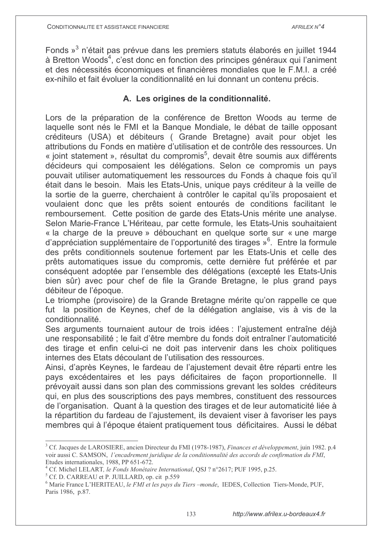Fonds »<sup>3</sup> n'était pas prévue dans les premiers statuts élaborés en juillet 1944 à Bretton Woods<sup>4</sup>, c'est donc en fonction des principes généraux qui l'animent et des nécessités économiques et financières mondiales que le F.M.I. a créé ex-nihilo et fait évoluer la conditionnalité en lui donnant un contenu précis.

### A. Les origines de la conditionnalité.

Lors de la préparation de la conférence de Bretton Woods au terme de laquelle sont nés le FMI et la Banque Mondiale, le débat de taille opposant créditeurs (USA) et débiteurs ( Grande Bretagne) avait pour objet les attributions du Fonds en matière d'utilisation et de contrôle des ressources. Un « joint statement », résultat du compromis<sup>5</sup>, devait être soumis aux différents décideurs qui composaient les délégations. Selon ce compromis un pays pouvait utiliser automatiquement les ressources du Fonds à chaque fois qu'il était dans le besoin. Mais les Etats-Unis, unique pays créditeur à la veille de la sortie de la guerre, cherchaient à contrôler le capital qu'ils proposaient et voulaient donc que les prêts soient entourés de conditions facilitant le remboursement. Cette position de garde des Etats-Unis mérite une analyse. Selon Marie-France L'Hériteau, par cette formule, les Etats-Unis souhaitaient « la charge de la preuve » débouchant en quelque sorte sur « une marge d'appréciation supplémentaire de l'opportunité des tirages »<sup>6</sup>. Entre la formule des prêts conditionnels soutenue fortement par les Etats-Unis et celle des prêts automatiques issue du compromis, cette dernière fut préférée et par conséquent adoptée par l'ensemble des délégations (excepté les Etats-Unis bien sûr) avec pour chef de file la Grande Bretagne, le plus grand pays débiteur de l'époque.

Le triomphe (provisoire) de la Grande Bretagne mérite qu'on rappelle ce que fut la position de Keynes, chef de la délégation anglaise, vis à vis de la conditionnalité.

Ses arguments tournaient autour de trois idées : l'ajustement entraîne déjà une responsabilité : le fait d'être membre du fonds doit entraîner l'automaticité des tirage et enfin celui-ci ne doit pas intervenir dans les choix politiques internes des Etats découlant de l'utilisation des ressources.

Ainsi, d'après Keynes, le fardeau de l'ajustement devait être réparti entre les pays excédentaires et les pays déficitaires de façon proportionnelle. Il prévoyait aussi dans son plan des commissions grevant les soldes créditeurs qui, en plus des souscriptions des pays membres, constituent des ressources de l'organisation. Quant à la question des tirages et de leur automaticité liée à la répartition du fardeau de l'aiustement, ils devaient viser à favoriser les pays membres qui à l'époque étaient pratiquement tous déficitaires. Aussi le débat

<sup>&</sup>lt;sup>3</sup> Cf. Jacques de LAROSIERE, ancien Directeur du FMI (1978-1987), Finances et développement, juin 1982, p.4 voir aussi C. SAMSON, l'encadrement juridique de la conditionnalité des accords de confirmation du FMI, Etudes internationales, 1988, PP 651-672.

<sup>&</sup>lt;sup>4</sup> Cf. Michel LELART, le Fonds Monétaire International, QSJ ? n°2617; PUF 1995, p.25.

<sup>&</sup>lt;sup>5</sup> Cf. D. CARREAU et P. JUILLARD, op. cit p.559

 $<sup>6</sup>$  Marie France L'HERITEAU, le FMI et les pays du Tiers -monde, IEDES, Collection Tiers-Monde, PUF,</sup> Paris 1986, p.87.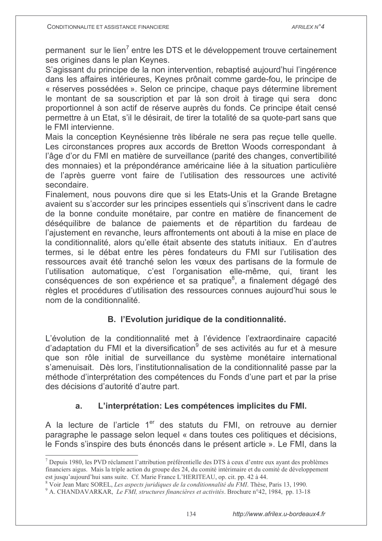permanent sur le lien<sup>7</sup> entre les DTS et le développement trouve certainement ses origines dans le plan Keynes.

S'agissant du principe de la non intervention, rebaptisé aujourd'hui l'ingérence dans les affaires intérieures, Keynes prônait comme garde-fou, le principe de « réserves possédées ». Selon ce principe, chaque pays détermine librement le montant de sa souscription et par là son droit à tirage qui sera donc proportionnel à son actif de réserve auprès du fonds. Ce principe était censé permettre à un Etat, s'il le désirait, de tirer la totalité de sa quote-part sans que le FMI intervienne.

Mais la conception Keynésienne très libérale ne sera pas recue telle quelle. Les circonstances propres aux accords de Bretton Woods correspondant à l'âge d'or du FMI en matière de surveillance (parité des changes, convertibilité des monnaies) et la prépondérance américaine liée à la situation particulière de l'après querre vont faire de l'utilisation des ressources une activité secondaire.

Finalement, nous pouvons dire que si les Etats-Unis et la Grande Bretagne avaient su s'accorder sur les principes essentiels qui s'inscrivent dans le cadre de la bonne conduite monétaire, par contre en matière de financement de déséquilibre de balance de paiements et de répartition du fardeau de l'ajustement en revanche, leurs affrontements ont abouti à la mise en place de la conditionnalité, alors qu'elle était absente des statuts initiaux. En d'autres termes, si le débat entre les pères fondateurs du FMI sur l'utilisation des ressources avait été tranché selon les vœux des partisans de la formule de l'utilisation automatique, c'est l'organisation elle-même, qui, tirant les conséquences de son expérience et sa pratique<sup>8</sup>, a finalement dégagé des règles et procédures d'utilisation des ressources connues aujourd'hui sous le nom de la conditionnalité.

## B. l'Evolution juridique de la conditionnalité.

L'évolution de la conditionnalité met à l'évidence l'extraordinaire capacité d'adaptation du FMI et la diversification<sup>9</sup> de ses activités au fur et à mesure que son rôle initial de surveillance du système monétaire international s'amenuisait. Dès lors, l'institutionnalisation de la conditionnalité passe par la méthode d'interprétation des compétences du Fonds d'une part et par la prise des décisions d'autorité d'autre part.

#### L'interprétation: Les compétences implicites du FMI.  $a<sub>z</sub>$

A la lecture de l'article 1<sup>er</sup> des statuts du FMI, on retrouve au dernier paragraphe le passage selon lequel « dans toutes ces politiques et décisions, le Fonds s'inspire des buts énoncés dans le présent article ». Le FMI, dans la

<sup>7</sup> Depuis 1980, les PVD réclament l'attribution préférentielle des DTS à ceux d'entre eux ayant des problèmes financiers aigus. Mais la triple action du groupe des 24, du comité intérimaire et du comité de développement est jusqu'aujourd'hui sans suite. Cf. Marie France L'HERITEAU, op. cit. pp. 42 à 44.

<sup>&</sup>lt;sup>8</sup> Voir Jean Marc SOREL, Les aspects juridiques de la conditionnalité du FMI. Thèse, Paris 13, 1990.

<sup>&</sup>lt;sup>9</sup> A. CHANDAVARKAR, *Le FMI*, structures financières et activités. Brochure n°42, 1984, pp. 13-18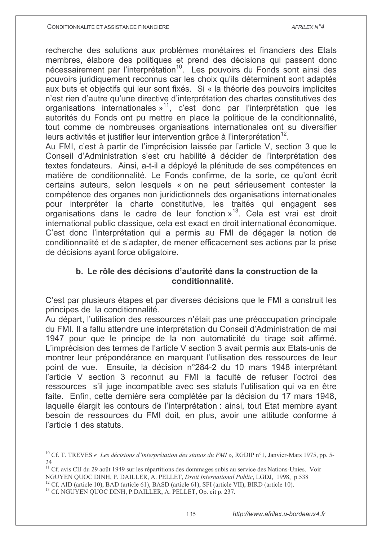recherche des solutions aux problèmes monétaires et financiers des Etats membres, élabore des politiques et prend des décisions qui passent donc nécessairement par l'interprétation<sup>10</sup>. Les pouvoirs du Fonds sont ainsi des pouvoirs juridiquement reconnus car les choix qu'ils déterminent sont adaptés aux buts et objectifs qui leur sont fixés. Si « la théorie des pouvoirs implicites n'est rien d'autre qu'une directive d'interprétation des chartes constitutives des organisations internationales  $v^{11}$ , c'est donc par l'interprétation que les autorités du Fonds ont pu mettre en place la politique de la conditionnalité, tout comme de nombreuses organisations internationales ont su diversifier leurs activités et justifier leur intervention grâce à l'interprétation<sup>12</sup>.

Au FMI, c'est à partir de l'imprécision laissée par l'article V, section 3 que le Conseil d'Administration s'est cru habilité à décider de l'interprétation des textes fondateurs. Ainsi, a-t-il a déployé la plénitude de ses compétences en matière de conditionnalité. Le Fonds confirme, de la sorte, ce qu'ont écrit certains auteurs, selon lesquels « on ne peut sérieusement contester la compétence des organes non juridictionnels des organisations internationales pour interpréter la charte constitutive, les traités qui engagent ses organisations dans le cadre de leur fonction »<sup>13</sup>. Cela est vrai est droit international public classique, cela est exact en droit international économique. C'est donc l'interprétation qui a permis au FMI de dégager la notion de conditionnalité et de s'adapter, de mener efficacement ses actions par la prise de décisions avant force obligatoire.

### b. Le rôle des décisions d'autorité dans la construction de la conditionnalité.

C'est par plusieurs étapes et par diverses décisions que le FMI a construit les principes de la conditionnalité.

Au départ, l'utilisation des ressources n'était pas une préoccupation principale du FMI. Il a fallu attendre une interprétation du Conseil d'Administration de mai 1947 pour que le principe de la non automaticité du tirage soit affirmé. L'imprécision des termes de l'article V section 3 avait permis aux Etats-unis de montrer leur prépondérance en marquant l'utilisation des ressources de leur point de vue. Ensuite, la décision n°284-2 du 10 mars 1948 interprétant l'article V section 3 reconnut au FMI la faculté de refuser l'octroi des ressources s'il juge incompatible avec ses statuts l'utilisation qui va en être faite. Enfin, cette dernière sera complétée par la décision du 17 mars 1948. laquelle élargit les contours de l'interprétation : ainsi, tout Etat membre avant besoin de ressources du FMI doit, en plus, avoir une attitude conforme à l'article 1 des statuts.

<sup>&</sup>lt;sup>10</sup> Cf. T. TREVES « Les décisions d'interprétation des statuts du FMI », RGDIP n°1, Janvier-Mars 1975, pp. 5- $2\pi$ 

<sup>&</sup>lt;sup>11</sup> Cf. avis CIJ du 29 août 1949 sur les répartitions des dommages subis au service des Nations-Unies. Voir NGUYEN QUOC DINH, P. DAILLER, A. PELLET, Droit International Public, LGDJ, 1998, p.538

 $^{12}$  Cf. AID (article 10), BAD (article 61), BASD (article 61), SFI (article VII), BIRD (article 10).

<sup>&</sup>lt;sup>13</sup> Cf. NGUYEN QUOC DINH, P.DAILLER, A. PELLET, Op. cit p. 237.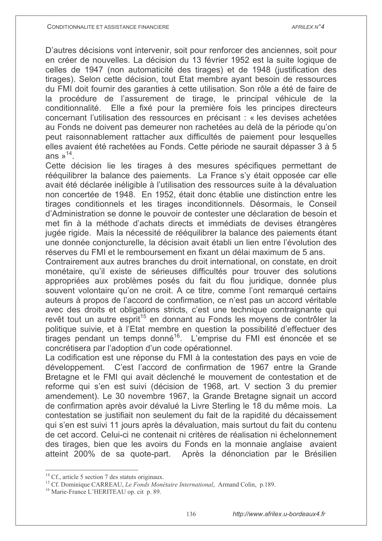D'autres décisions vont intervenir, soit pour renforcer des anciennes, soit pour en créer de nouvelles. La décision du 13 février 1952 est la suite logique de celles de 1947 (non automaticité des tirages) et de 1948 (justification des tirages). Selon cette décision, tout Etat membre ayant besoin de ressources du FMI doit fournir des garanties à cette utilisation. Son rôle a été de faire de la procédure de l'assurement de tirage. le principal véhicule de la Elle a fixé pour la première fois les principes directeurs conditionnalité. concernant l'utilisation des ressources en précisant : « les devises achetées au Fonds ne doivent pas demeurer non rachetées au delà de la période qu'on peut raisonnablement rattacher aux difficultés de paiement pour lesquelles elles avaient été rachetées au Fonds. Cette période ne saurait dépasser 3 à 5 ans  $v^{14}$ .

Cette décision lie les tirages à des mesures spécifiques permettant de rééquilibrer la balance des paiements. La France s'y était opposée car elle avait été déclarée inéligible à l'utilisation des ressources suite à la dévaluation non concertée de 1948. En 1952, était donc établie une distinction entre les tirages conditionnels et les tirages inconditionnels. Désormais, le Conseil d'Administration se donne le pouvoir de contester une déclaration de besoin et met fin à la méthode d'achats directs et immédiats de devises étrangères jugée rigide. Mais la nécessité de rééguilibrer la balance des paiements étant une donnée conjoncturelle, la décision avait établi un lien entre l'évolution des réserves du FMI et le remboursement en fixant un délai maximum de 5 ans.

Contrairement aux autres branches du droit international, on constate, en droit monétaire, qu'il existe de sérieuses difficultés pour trouver des solutions appropriées aux problèmes posés du fait du flou juridique, donnée plus souvent volontaire qu'on ne croit. A ce titre, comme l'ont remarqué certains auteurs à propos de l'accord de confirmation, ce n'est pas un accord véritable avec des droits et obligations stricts, c'est une technique contraignante qui revêt tout un autre esprit<sup>15</sup> en donnant au Fonds les moyens de contrôler la politique suivie, et à l'Etat membre en question la possibilité d'effectuer des tirages pendant un temps donné<sup>16</sup>. L'emprise du FMI est énoncée et se concrétisera par l'adoption d'un code opérationnel.

La codification est une réponse du FMI à la contestation des pays en voie de développement. C'est l'accord de confirmation de 1967 entre la Grande Bretagne et le FMI qui avait déclenché le mouvement de contestation et de reforme qui s'en est suivi (décision de 1968, art. V section 3 du premier amendement). Le 30 novembre 1967, la Grande Bretagne signait un accord de confirmation après avoir dévalué la Livre Sterling le 18 du même mois. La contestation se justifiait non seulement du fait de la rapidité du décaissement qui s'en est suivi 11 jours après la dévaluation, mais surtout du fait du contenu de cet accord. Celui-ci ne contenait ni critères de réalisation ni échelonnement des tirages, bien que les avoirs du Fonds en la monnaie anglaise avaient atteint 200% de sa quote-part. Après la dénonciation par le Brésilien

<sup>&</sup>lt;sup>14</sup> Cf., article 5 section 7 des statuts originaux.

<sup>&</sup>lt;sup>15</sup> Cf. Dominique CARREAU, Le Fonds Monétaire International, Armand Colin, p.189.

<sup>&</sup>lt;sup>16</sup> Marie-France L'HERITEAU op. cit p. 89.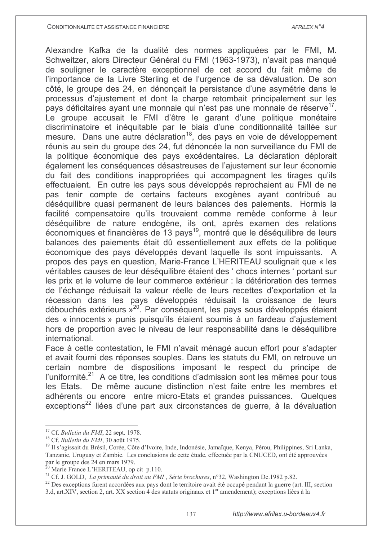Alexandre Kafka de la dualité des normes appliquées par le FMI, M. Schweitzer, alors Directeur Général du FMI (1963-1973), n'avait pas manqué de souligner le caractère exceptionnel de cet accord du fait même de l'importance de la Livre Sterling et de l'urgence de sa dévaluation. De son côté, le groupe des 24, en dénoncait la persistance d'une asymétrie dans le processus d'aiustement et dont la charge retombait principalement sur les pays déficitaires ayant une monnaie qui n'est pas une monnaie de réserve<sup>17</sup>. Le groupe accusait le FMI d'être le garant d'une politique monétaire discriminatoire et inéquitable par le biais d'une conditionnalité taillée sur mesure. Dans une autre déclaration<sup>18</sup>, des pays en voie de développement réunis au sein du groupe des 24, fut dénoncée la non surveillance du FMI de la politique économique des pays excédentaires. La déclaration déplorait également les conséquences désastreuses de l'ajustement sur leur économie du fait des conditions inappropriées qui accompagnent les tirages qu'ils effectuaient. En outre les pays sous développés reprochaient au FMI de ne pas tenir compte de certains facteurs exogènes ayant contribué au déséquilibre quasi permanent de leurs balances des paiements. Hormis la facilité compensatoire qu'ils trouvaient comme remède conforme à leur déséquilibre de nature endogène, ils ont, après examen des relations économiques et financières de 13 pays<sup>19</sup>, montré que le déséquilibre de leurs balances des paiements était dû essentiellement aux effets de la politique économique des pays développés devant laquelle ils sont impuissants. A propos des pays en question, Marie-France L'HERITEAU soulignait que « les véritables causes de leur déséquilibre étaient des 'chocs internes 'portant sur les prix et le volume de leur commerce extérieur : la détérioration des termes de l'échange réduisait la valeur réelle de leurs recettes d'exportation et la récession dans les pays développés réduisait la croissance de leurs débouchés extérieurs »<sup>20</sup> Par conséquent, les pays sous développés étaient des « innocents » punis puisqu'ils étaient soumis à un fardeau d'ajustement hors de proportion avec le niveau de leur responsabilité dans le déséquilibre international.

Face à cette contestation, le FMI n'avait ménagé aucun effort pour s'adapter et avait fourni des réponses souples. Dans les statuts du FMI, on retrouve un certain nombre de dispositions imposant le respect du principe de l'uniformité.<sup>21</sup> A ce titre, les conditions d'admission sont les mêmes pour tous les Etats. De même aucune distinction n'est faite entre les membres et adhérents ou encore entre micro-Etats et grandes puissances. Quelques exceptions<sup>22</sup> liées d'une part aux circonstances de querre, à la dévaluation

<sup>&</sup>lt;sup>17</sup> Cf. Bulletin du FMI, 22 sept. 1978.

<sup>&</sup>lt;sup>18</sup> Cf. Bulletin du FMI, 30 août 1975.

<sup>&</sup>lt;sup>19</sup> Il s'agissait du Brésil, Corée, Côte d'Ivoire, Inde, Indonésie, Jamaïque, Kenya, Pérou, Philippines, Sri Lanka, Tanzanie, Uruguay et Zambie. Les conclusions de cette étude, effectuée par la CNUCED, ont été approuvées par le groupe des 24 en mars 1979.

Marie France L'HERITEAU, op cit p.110.

<sup>&</sup>lt;sup>21</sup> Cf. J. GOLD, *La primauté du droit au FMI*, Série brochures, n°32, Washington Dc.1982 p.82.

<sup>&</sup>lt;sup>22</sup> Des exceptions furent accordées aux pays dont le territoire avait été occupé pendant la guerre (art. III, section 3.d, art.XIV, section 2, art. XX section 4 des statuts originaux et 1<sup>er</sup> amendement); exceptions liées à la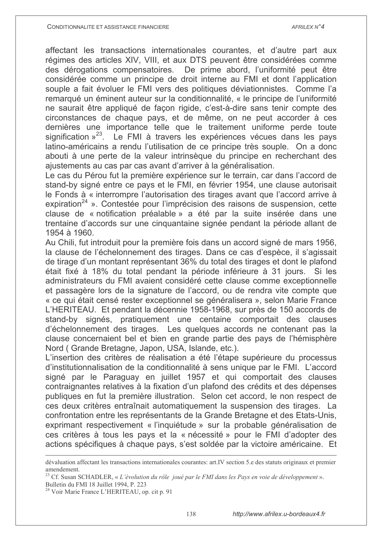affectant les transactions internationales courantes, et d'autre part aux régimes des articles XIV, VIII, et aux DTS peuvent être considérées comme des dérogations compensatoires. De prime abord, l'uniformité peut être considérée comme un principe de droit interne au FMI et dont l'application souple a fait évoluer le FMI vers des politiques déviationnistes. Comme l'a remarqué un éminent auteur sur la conditionnalité, « le principe de l'uniformité ne saurait être appliqué de façon rigide, c'est-à-dire sans tenir compte des circonstances de chaque pays, et de même, on ne peut accorder à ces dernières une importance telle que le traitement uniforme perde toute signification  $x^{23}$ . Le FMI à travers les expériences vécues dans les pays latino-américains a rendu l'utilisation de ce principe très souple. On a donc abouti à une perte de la valeur intrinsègue du principe en recherchant des ajustements au cas par cas avant d'arriver à la généralisation.

Le cas du Pérou fut la première expérience sur le terrain, car dans l'accord de stand-by signé entre ce pays et le FMI, en février 1954, une clause autorisait le Fonds à « interrompre l'autorisation des tirages avant que l'accord arrive à expiration<sup>24</sup> ». Contestée pour l'imprécision des raisons de suspension, cette clause de « notification préalable » a été par la suite insérée dans une trentaine d'accords sur une cinquantaine signée pendant la période allant de 1954 à 1960.

Au Chili, fut introduit pour la première fois dans un accord signé de mars 1956. la clause de l'échelonnement des tirages. Dans ce cas d'espèce, il s'agissait de tirage d'un montant représentant 36% du total des tirages et dont le plafond était fixé à 18% du total pendant la période inférieure à 31 jours. Si les administrateurs du FMI avaient considéré cette clause comme exceptionnelle et passagère lors de la signature de l'accord, ou de rendra vite compte que « ce qui était censé rester exceptionnel se généralisera », selon Marie France L'HERITEAU. Et pendant la décennie 1958-1968, sur près de 150 accords de stand-by signés, pratiquement une centaine comportait des clauses d'échelonnement des tirages. Les quelques accords ne contenant pas la clause concernaient bel et bien en grande partie des pays de l'hémisphère Nord (Grande Bretagne, Japon, USA, Islande, etc.).

L'insertion des critères de réalisation a été l'étape supérieure du processus d'institutionnalisation de la conditionnalité à sens unique par le FMI. L'accord signé par le Paraguay en juillet 1957 et qui comportait des clauses contraignantes relatives à la fixation d'un plafond des crédits et des dépenses publiques en fut la première illustration. Selon cet accord, le non respect de ces deux critères entraînait automatiquement la suspension des tirages. La confrontation entre les représentants de la Grande Bretagne et des Etats-Unis, exprimant respectivement « l'inquiétude » sur la probable généralisation de ces critères à tous les pays et la « nécessité » pour le FMI d'adopter des actions spécifiques à chaque pays, s'est soldée par la victoire américaine. Et

dévaluation affectant les transactions internationales courantes: art.IV section 5.e des statuts originaux et premier amendement

<sup>&</sup>lt;sup>23</sup> Cf. Susan SCHADLER, « L'évolution du rôle joué par le FMI dans les Pays en voie de développement ». Bulletin du FMI 18 Juillet 1994, P. 223

<sup>&</sup>lt;sup>24</sup> Voir Marie France L'HERITEAU, op. cit p. 91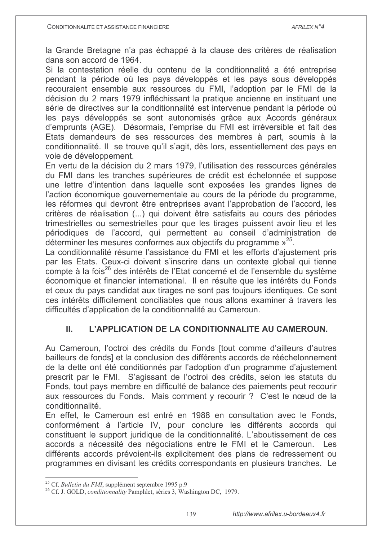la Grande Bretagne n'a pas échappé à la clause des critères de réalisation dans son accord de 1964.

Si la contestation réelle du contenu de la conditionnalité a été entreprise pendant la période où les pays développés et les pays sous développés recouraient ensemble aux ressources du FMI. l'adoption par le FMI de la décision du 2 mars 1979 infléchissant la pratique ancienne en instituant une série de directives sur la conditionnalité est intervenue pendant la période où les pays développés se sont autonomisés grâce aux Accords généraux d'emprunts (AGE). Désormais, l'emprise du FMI est irréversible et fait des Etats demandeurs de ses ressources des membres à part, soumis à la conditionnalité. Il se trouve qu'il s'agit, dès lors, essentiellement des pays en voie de développement.

En vertu de la décision du 2 mars 1979, l'utilisation des ressources générales du FMI dans les tranches supérieures de crédit est échelonnée et suppose une lettre d'intention dans laquelle sont exposées les grandes lignes de l'action économique gouvernementale au cours de la période du programme, les réformes qui devront être entreprises avant l'approbation de l'accord, les critères de réalisation (...) qui doivent être satisfaits au cours des périodes trimestrielles ou semestrielles pour que les tirages puissent avoir lieu et les périodiques de l'accord, qui permettent au conseil d'administration de déterminer les mesures conformes aux objectifs du programme »<sup>25</sup>.

La conditionnalité résume l'assistance du FMI et les efforts d'ajustement pris par les Etats. Ceux-ci doivent s'inscrire dans un contexte global qui tienne compte à la fois<sup>26</sup> des intérêts de l'Etat concerné et de l'ensemble du système économique et financier international. Il en résulte que les intérêts du Fonds et ceux du pays candidat aux tirages ne sont pas toujours identiques. Ce sont ces intérêts difficilement conciliables que nous allons examiner à travers les difficultés d'application de la conditionnalité au Cameroun.

#### L'APPLICATION DE LA CONDITIONNALITE AU CAMEROUN.  $\Pi$ .

Au Cameroun, l'octroi des crédits du Fonds [tout comme d'ailleurs d'autres bailleurs de fonds] et la conclusion des différents accords de rééchelonnement de la dette ont été conditionnés par l'adoption d'un programme d'ajustement prescrit par le FMI. S'agissant de l'octroi des crédits, selon les statuts du Fonds, tout pays membre en difficulté de balance des paiements peut recourir aux ressources du Fonds. Mais comment y recourir ? C'est le nœud de la conditionnalité.

En effet, le Cameroun est entré en 1988 en consultation avec le Fonds. conformément à l'article IV, pour conclure les différents accords qui constituent le support juridique de la conditionnalité. L'aboutissement de ces accords a nécessité des négociations entre le FMI et le Cameroun. Les différents accords prévoient-ils explicitement des plans de redressement ou programmes en divisant les crédits correspondants en plusieurs tranches. Le

<sup>&</sup>lt;sup>25</sup> Cf. *Bulletin du FMI*, supplément septembre 1995 p.9

<sup>&</sup>lt;sup>26</sup> Cf. J. GOLD, *conditionnality* Pamphlet, séries 3, Washington DC, 1979.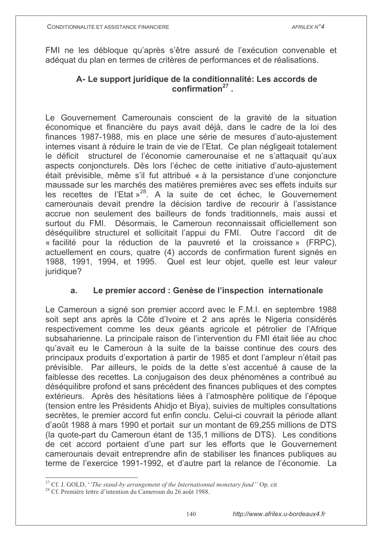FMI ne les débloque qu'après s'être assuré de l'exécution convenable et adéquat du plan en termes de critères de performances et de réalisations.

### A-Le support juridique de la conditionnalité: Les accords de  $\text{confirmation}^{27}$

Le Gouvernement Camerounais conscient de la gravité de la situation économique et financière du pays avait déjà, dans le cadre de la loi des finances 1987-1988, mis en place une série de mesures d'auto-ajustement internes visant à réduire le train de vie de l'Etat. Ce plan négligeait totalement le déficit structurel de l'économie camerounaise et ne s'attaquait qu'aux aspects conjoncturels. Dès lors l'échec de cette initiative d'auto-ajustement était prévisible, même s'il fut attribué « à la persistance d'une conjoncture maussade sur les marchés des matières premières avec ses effets induits sur les recettes de l'Etat »<sup>28</sup>. A la suite de cet échec, le Gouvernement camerounais devait prendre la décision tardive de recourir à l'assistance accrue non seulement des bailleurs de fonds traditionnels, mais aussi et surtout du FMI. Désormais, le Cameroun reconnaissait officiellement son déséquilibre structurel et sollicitait l'appui du FMI. Outre l'accord dit de « facilité pour la réduction de la pauvreté et la croissance » (FRPC). actuellement en cours, quatre (4) accords de confirmation furent signés en 1988, 1991, 1994, et 1995. Quel est leur objet, quelle est leur valeur juridique?

#### Le premier accord : Genèse de l'inspection internationale  $a<sub>r</sub>$

Le Cameroun a signé son premier accord avec le F.M.I. en septembre 1988 soit sept ans après la Côte d'Ivoire et 2 ans après le Nigeria considérés respectivement comme les deux géants agricole et pétrolier de l'Afrique subsaharienne. La principale raison de l'intervention du FMI était liée au choc qu'avait eu le Cameroun à la suite de la baisse continue des cours des principaux produits d'exportation à partir de 1985 et dont l'ampleur n'était pas prévisible. Par ailleurs, le poids de la dette s'est accentué à cause de la faiblesse des recettes. La conjugaison des deux phénomènes a contribué au déséquilibre profond et sans précédent des finances publiques et des comptes extérieurs. Après des hésitations liées à l'atmosphère politique de l'époque (tension entre les Présidents Ahidio et Biva), suivies de multiples consultations secrètes, le premier accord fut enfin conclu. Celui-ci couvrait la période allant d'août 1988 à mars 1990 et portait sur un montant de 69.255 millions de DTS (la quote-part du Cameroun étant de 135,1 millions de DTS). Les conditions de cet accord portaient d'une part sur les efforts que le Gouvernement camerounais devait entreprendre afin de stabiliser les finances publiques au terme de l'exercice 1991-1992, et d'autre part la relance de l'économie. La

<sup>&</sup>lt;sup>27</sup> Cf. J. GOLD, *'The stand-by arrangement of the Internationnal monetary fund''* Op. cit

<sup>&</sup>lt;sup>28</sup> Cf. Première lettre d'intention du Cameroun du 26 août 1988.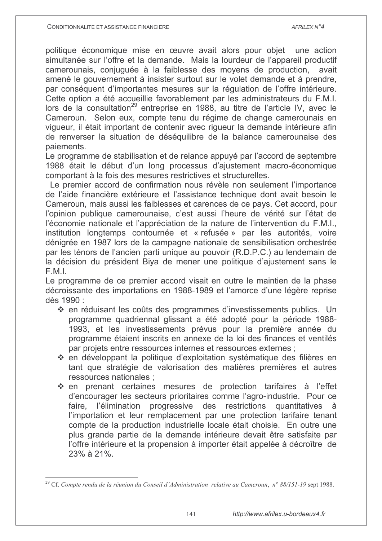politique économique mise en œuvre avait alors pour objet une action simultanée sur l'offre et la demande. Mais la lourdeur de l'appareil productif camerounais, conjuguée à la faiblesse des moyens de production, avait amené le gouvernement à insister surtout sur le volet demande et à prendre, par conséquent d'importantes mesures sur la régulation de l'offre intérieure. Cette option a été accueillie favorablement par les administrateurs du F.M.I. lors de la consultation<sup>29</sup> entreprise en 1988, au titre de l'article IV, avec le Cameroun. Selon eux, compte tenu du régime de change camerounais en viqueur, il était important de contenir avec riqueur la demande intérieure afin de renverser la situation de déséguilibre de la balance camerounaise des paiements.

Le programme de stabilisation et de relance appuyé par l'accord de septembre 1988 était le début d'un long processus d'ajustement macro-économique comportant à la fois des mesures restrictives et structurelles.

Le premier accord de confirmation nous révèle non seulement l'importance de l'aide financière extérieure et l'assistance technique dont avait besoin le Cameroun, mais aussi les faiblesses et carences de ce pays. Cet accord, pour l'opinion publique camerounaise, c'est aussi l'heure de vérité sur l'état de l'économie nationale et l'appréciation de la nature de l'intervention du F.M.I., institution longtemps contournée et « refusée » par les autorités, voire dénigrée en 1987 lors de la campagne nationale de sensibilisation orchestrée par les ténors de l'ancien parti unique au pouvoir (R.D.P.C.) au lendemain de la décision du président Biya de mener une politique d'ajustement sans le  $F.M.I.$ 

Le programme de ce premier accord visait en outre le maintien de la phase décroissante des importations en 1988-1989 et l'amorce d'une légère reprise dès 1990 :

- ❖ en réduisant les coûts des programmes d'investissements publics. Un programme quadriennal glissant a été adopté pour la période 1988-1993, et les investissements prévus pour la première année du programme étaient inscrits en annexe de la loi des finances et ventilés par projets entre ressources internes et ressources externes;
- ❖ en développant la politique d'exploitation systématique des filières en tant que stratégie de valorisation des matières premières et autres ressources nationales :
- \* en prenant certaines mesures de protection tarifaires à l'effet d'encourager les secteurs prioritaires comme l'agro-industrie. Pour ce l'élimination progressive des restrictions faire. quantitatives l'importation et leur remplacement par une protection tarifaire tenant compte de la production industrielle locale était choisie. En outre une plus grande partie de la demande intérieure devait être satisfaite par l'offre intérieure et la propension à importer était appelée à décroître de 23% à 21%.

<sup>&</sup>lt;sup>29</sup> Cf. Compte rendu de la réunion du Conseil d'Administration relative au Cameroun, n° 88/151-19 sept 1988.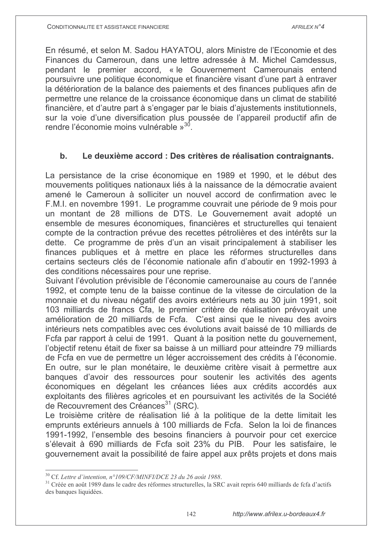En résumé, et selon M. Sadou HAYATOU, alors Ministre de l'Economie et des Finances du Cameroun, dans une lettre adressée à M. Michel Camdessus, pendant le premier accord. « le Gouvernement Camerounais entend poursuivre une politique économique et financière visant d'une part à entraver la détérioration de la balance des paiements et des finances publiques afin de permettre une relance de la croissance économique dans un climat de stabilité financière, et d'autre part à s'engager par le biais d'ajustements institutionnels, sur la voie d'une diversification plus poussée de l'appareil productif afin de rendre l'économie moins vulnérable »<sup>30</sup>.

#### Le deuxième accord : Des critères de réalisation contraignants.  $\mathbf b$ .

La persistance de la crise économique en 1989 et 1990, et le début des mouvements politiques nationaux liés à la naissance de la démocratie avaient amené le Cameroun à solliciter un nouvel accord de confirmation avec le F.M.I. en novembre 1991. Le programme couvrait une période de 9 mois pour un montant de 28 millions de DTS. Le Gouvernement avait adopté un ensemble de mesures économiques, financières et structurelles qui tenaient compte de la contraction prévue des recettes pétrolières et des intérêts sur la dette. Ce programme de près d'un an visait principalement à stabiliser les finances publiques et à mettre en place les réformes structurelles dans certains secteurs clés de l'économie nationale afin d'aboutir en 1992-1993 à des conditions nécessaires pour une reprise.

Suivant l'évolution prévisible de l'économie camerounaise au cours de l'année 1992, et compte tenu de la baisse continue de la vitesse de circulation de la monnaie et du niveau négatif des avoirs extérieurs nets au 30 juin 1991, soit 103 milliards de francs Cfa, le premier critère de réalisation prévoyait une amélioration de 20 milliards de Fcfa. C'est ainsi que le niveau des avoirs intérieurs nets compatibles avec ces évolutions avait baissé de 10 milliards de Fcfa par rapport à celui de 1991. Quant à la position nette du gouvernement, l'objectif retenu était de fixer sa baisse à un milliard pour atteindre 79 milliards de Fcfa en vue de permettre un léger accroissement des crédits à l'économie. En outre, sur le plan monétaire, le deuxième critère visait à permettre aux banques d'avoir des ressources pour soutenir les activités des agents économiques en dégelant les créances liées aux crédits accordés aux exploitants des filières agricoles et en poursuivant les activités de la Société de Recouvrement des Créances<sup>31</sup> (SRC).

Le troisième critère de réalisation lié à la politique de la dette limitait les emprunts extérieurs annuels à 100 milliards de Fcfa. Selon la loi de finances 1991-1992, l'ensemble des besoins financiers à pourvoir pour cet exercice s'élevait à 690 milliards de Fcfa soit 23% du PIB. Pour les satisfaire, le gouvernement avait la possibilité de faire appel aux prêts projets et dons mais

<sup>&</sup>lt;sup>30</sup> Cf. Lettre d'intention, n°109/CF/MINFI/DCE 23 du 26 août 1988.

<sup>&</sup>lt;sup>31</sup> Créée en août 1989 dans le cadre des réformes structurelles, la SRC avait repris 640 milliards de fcfa d'actifs des banques liquidées.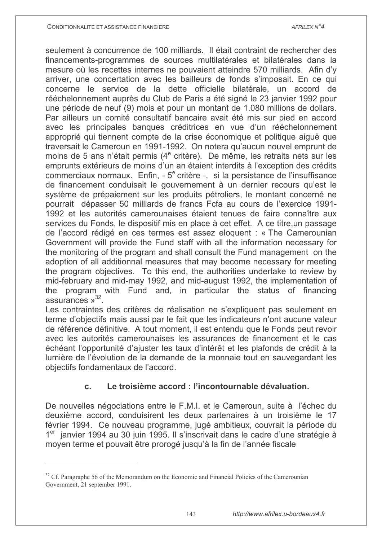seulement à concurrence de 100 milliards. Il était contraint de rechercher des financements-programmes de sources multilatérales et bilatérales dans la mesure où les recettes internes ne pouvaient atteindre 570 milliards. Afin d'y arriver, une concertation avec les bailleurs de fonds s'imposait. En ce qui concerne le service de la dette officielle bilatérale, un accord de rééchelonnement auprès du Club de Paris a été signé le 23 janvier 1992 pour une période de neuf (9) mois et pour un montant de 1.080 millions de dollars. Par ailleurs un comité consultatif bancaire avait été mis sur pied en accord avec les principales banques créditrices en vue d'un rééchelonnement approprié qui tiennent compte de la crise économique et politique aique que traversait le Cameroun en 1991-1992. On notera qu'aucun nouvel emprunt de moins de 5 ans n'était permis (4<sup>e</sup> critère). De même, les retraits nets sur les emprunts extérieurs de moins d'un an étaient interdits à l'exception des crédits commerciaux normaux. Enfin, - 5<sup>e</sup> critère -, si la persistance de l'insuffisance de financement conduisait le gouvernement à un dernier recours qu'est le système de prépaiement sur les produits pétroliers, le montant concerné ne pourrait dépasser 50 milliards de francs Fcfa au cours de l'exercice 1991-1992 et les autorités camerounaises étaient tenues de faire connaître aux services du Fonds, le dispositif mis en place à cet effet. A ce titre un passage de l'accord rédigé en ces termes est assez eloquent : « The Camerounian Government will provide the Fund staff with all the information necessary for the monitoring of the program and shall consult the Fund management on the adoption of all additionnal measures that may become necessary for meeting the program objectives. To this end, the authorities undertake to review by mid-february and mid-may 1992, and mid-august 1992, the implementation of program with Fund and, in particular the status of financing the assurances  $v^{32}$ .

Les contraintes des critères de réalisation ne s'expliquent pas seulement en terme d'objectifs mais aussi par le fait que les indicateurs n'ont aucune valeur de référence définitive. A tout moment, il est entendu que le Fonds peut revoir avec les autorités camerounaises les assurances de financement et le cas échéant l'opportunité d'ajuster les taux d'intérêt et les plafonds de crédit à la lumière de l'évolution de la demande de la monnaie tout en sauvegardant les objectifs fondamentaux de l'accord.

#### Le troisième accord : l'incontournable dévaluation. C.

De nouvelles négociations entre le F.M.I. et le Cameroun, suite à l'échec du deuxième accord, conduisirent les deux partenaires à un troisième le 17 février 1994. Ce nouveau programme, jugé ambitieux, couvrait la période du 1<sup>er</sup> janvier 1994 au 30 juin 1995. Il s'inscrivait dans le cadre d'une stratégie à moyen terme et pouvait être prorogé jusqu'à la fin de l'année fiscale

 $32$  Cf. Paragraphe 56 of the Memorandum on the Economic and Financial Policies of the Camerounian Government, 21 september 1991.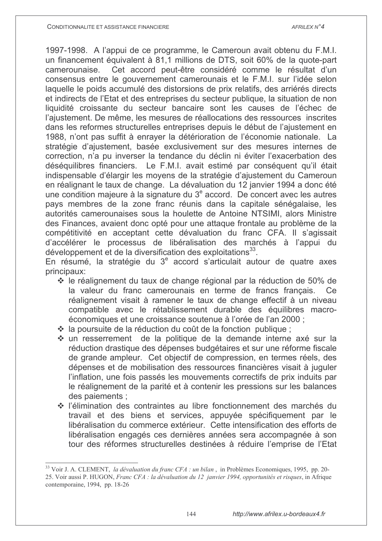1997-1998. A l'appui de ce programme, le Cameroun avait obtenu du F.M.I. un financement équivalent à 81,1 millions de DTS, soit 60% de la quote-part camerounaise. Cet accord peut-être considéré comme le résultat d'un consensus entre le gouvernement camerounais et le F.M.I. sur l'idée selon laquelle le poids accumulé des distorsions de prix relatifs, des arriérés directs et indirects de l'Etat et des entreprises du secteur publique, la situation de non liquidité croissante du secteur bancaire sont les causes de l'échec de l'ajustement. De même, les mesures de réallocations des ressources inscrites dans les reformes structurelles entreprises depuis le début de l'ajustement en 1988, n'ont pas suffit à enraver la détérioration de l'économie nationale. La stratégie d'ajustement, basée exclusivement sur des mesures internes de correction, n'a pu inverser la tendance du déclin ni éviter l'exacerbation des déséquilibres financiers. Le F.M.I. avait estimé par conséquent qu'il était indispensable d'élargir les moyens de la stratégie d'ajustement du Cameroun en réalignant le taux de change. La dévaluation du 12 janvier 1994 a donc été une condition majeure à la signature du 3<sup>e</sup> accord. De concert avec les autres pays membres de la zone franc réunis dans la capitale sénégalaise, les autorités camerounaises sous la houlette de Antoine NTSIMI, alors Ministre des Finances, avaient donc opté pour une attaque frontale au problème de la compétitivité en acceptant cette dévaluation du franc CFA. Il s'agissait d'accélérer le processus de libéralisation des marchés à l'appui du développement et de la diversification des exploitations<sup>33</sup>.

En résumé, la stratégie du 3<sup>e</sup> accord s'articulait autour de quatre axes principaux:

- ❖ le réalignement du taux de change régional par la réduction de 50% de la valeur du franc camerounais en terme de francs français. Ce réalignement visait à ramener le taux de change effectif à un niveau compatible avec le rétablissement durable des équilibres macroéconomiques et une croissance soutenue à l'orée de l'an 2000 ;
- ❖ la poursuite de la réduction du coût de la fonction publique :
- ❖ un resserrement de la politique de la demande interne axé sur la réduction drastique des dépenses budgétaires et sur une réforme fiscale de grande ampleur. Cet objectif de compression, en termes réels, des dépenses et de mobilisation des ressources financières visait à juguler l'inflation, une fois passés les mouvements correctifs de prix induits par le réalignement de la parité et à contenir les pressions sur les balances des paiements :
- $\div$  l'élimination des contraintes au libre fonctionnement des marchés du travail et des biens et services, appuyée spécifiquement par le libéralisation du commerce extérieur. Cette intensification des efforts de libéralisation engagés ces dernières années sera accompagnée à son tour des réformes structurelles destinées à réduire l'emprise de l'Etat

<sup>&</sup>lt;sup>33</sup> Voir J. A. CLEMENT, la dévaluation du franc CFA : un bilan, in Problèmes Economiques, 1995, pp. 20-25. Voir aussi P. HUGON, Franc CFA : la dévaluation du 12 janvier 1994, opportunités et risques, in Afrique contemporaine, 1994, pp. 18-26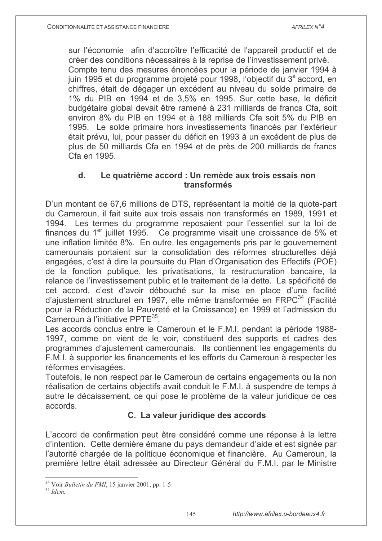sur l'économie afin d'accroître l'efficacité de l'appareil productif et de créer des conditions nécessaires à la reprise de l'investissement privé. Compte tenu des mesures énoncées pour la période de janvier 1994 à juin 1995 et du programme projeté pour 1998, l'objectif du 3<sup>e</sup> accord, en chiffres, était de dégager un excédent au niveau du solde primaire de 1% du PIB en 1994 et de 3.5% en 1995. Sur cette base, le déficit budgétaire global devait être ramené à 231 milliards de francs Cfa, soit environ 8% du PIB en 1994 et à 188 milliards Cfa soit 5% du PIB en 1995. Le solde primaire hors investissements financés par l'extérieur était prévu, lui, pour passer du déficit en 1993 à un excédent de plus de plus de 50 milliards Cfa en 1994 et de près de 200 milliards de francs Cfa en 1995

### $\mathbf{d}$ . Le quatrième accord : Un remède aux trois essais non transformés

D'un montant de 67,6 millions de DTS, représentant la moitié de la quote-part du Cameroun, il fait suite aux trois essais non transformés en 1989, 1991 et 1994. Les termes du programme reposaient pour l'essentiel sur la loi de finances du 1<sup>er</sup> juillet 1995. Ce programme visait une croissance de 5% et une inflation limitée 8%. En outre, les engagements pris par le gouvernement camerounais portaient sur la consolidation des réformes structurelles déjà engagées, c'est à dire la poursuite du Plan d'Organisation des Effectifs (POE) de la fonction publique, les privatisations, la restructuration bancaire, la relance de l'investissement public et le traitement de la dette. La spécificité de cet accord, c'est d'avoir débouché sur la mise en place d'une facilité d'ajustement structurel en 1997, elle même transformée en FRPC<sup>34</sup> (Facilité pour la Réduction de la Pauvreté et la Croissance) en 1999 et l'admission du Cameroun à l'initiative PPTF<sup>35</sup>

Les accords conclus entre le Cameroun et le F.M.I. pendant la période 1988-1997, comme on vient de le voir, constituent des supports et cadres des programmes d'ajustement camerounais. Ils contiennent les engagements du F.M.I. à supporter les financements et les efforts du Cameroun à respecter les réformes envisagées.

Toutefois, le non respect par le Cameroun de certains engagements ou la non réalisation de certains objectifs avait conduit le F.M.I. à suspendre de temps à autre le décaissement, ce qui pose le problème de la valeur juridique de ces accords.

### C. La valeur juridique des accords

L'accord de confirmation peut être considéré comme une réponse à la lettre d'intention. Cette dernière émane du pays demandeur d'aide et est signée par l'autorité chargée de la politique économique et financière. Au Cameroun, la première lettre était adressée au Directeur Général du F.M.I. par le Ministre

<sup>&</sup>lt;sup>34</sup> Voir *Bulletin du FMI*, 15 janvier 2001, pp. 1-5

 $35$   $Idom$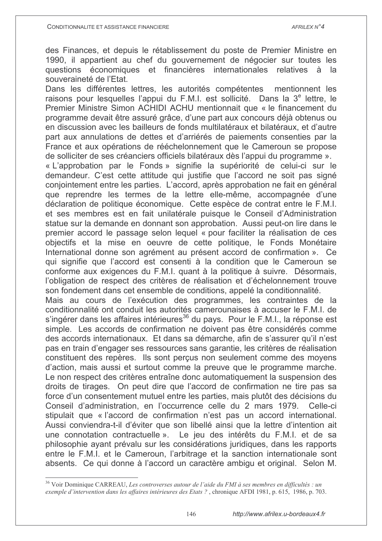des Finances, et depuis le rétablissement du poste de Premier Ministre en 1990, il appartient au chef du gouvernement de négocier sur toutes les questions économiques et financières internationales relatives à la souveraineté de l'Etat.

Dans les différentes lettres, les autorités compétentes mentionnent les raisons pour lesquelles l'appui du F.M.I. est sollicité. Dans la 3<sup>e</sup> lettre, le Premier Ministre Simon ACHIDI ACHU mentionnait que « le financement du programme devait être assuré grâce, d'une part aux concours déjà obtenus ou en discussion avec les bailleurs de fonds multilatéraux et bilatéraux, et d'autre part aux annulations de dettes et d'arriérés de paiements consenties par la France et aux opérations de rééchelonnement que le Cameroun se propose de solliciter de ses créanciers officiels bilatéraux dès l'appui du programme ».

« L'approbation par le Fonds » signifie la supériorité de celui-ci sur le demandeur. C'est cette attitude qui justifie que l'accord ne soit pas signé conjointement entre les parties. L'accord, après approbation ne fait en général que reprendre les termes de la lettre elle-même, accompagnée d'une déclaration de politique économique. Cette espèce de contrat entre le F.M.I. et ses membres est en fait unilatérale puisque le Conseil d'Administration statue sur la demande en donnant son approbation. Aussi peut-on lire dans le premier accord le passage selon lequel « pour faciliter la réalisation de ces objectifs et la mise en oeuvre de cette politique. le Fonds Monétaire International donne son agrément au présent accord de confirmation ». Ce qui signifie que l'accord est consenti à la condition que le Cameroun se conforme aux exigences du F.M.I. quant à la politique à suivre. Désormais, l'obligation de respect des critères de réalisation et d'échelonnement trouve son fondement dans cet ensemble de conditions, appelé la conditionnalité.

Mais au cours de l'exécution des programmes, les contraintes de la conditionnalité ont conduit les autorités camerounaises à accuser le F.M.I. de s'ingérer dans les affaires intérieures<sup>36</sup> du pays. Pour le F.M.I., la réponse est simple. Les accords de confirmation ne doivent pas être considérés comme des accords internationaux. Et dans sa démarche, afin de s'assurer qu'il n'est pas en train d'engager ses ressources sans garantie, les critères de réalisation constituent des repères. Ils sont perçus non seulement comme des moyens d'action, mais aussi et surtout comme la preuve que le programme marche. Le non respect des critères entraîne donc automatiquement la suspension des droits de tirages. On peut dire que l'accord de confirmation ne tire pas sa force d'un consentement mutuel entre les parties, mais plutôt des décisions du Conseil d'administration, en l'occurrence celle du 2 mars 1979. Celle-ci stipulait que « l'accord de confirmation n'est pas un accord international. Aussi conviendra-t-il d'éviter que son libellé ainsi que la lettre d'intention ait une connotation contractuelle ». Le jeu des intérêts du F.M.I. et de sa philosophie ayant prévalu sur les considérations juridiques, dans les rapports entre le F.M.I. et le Cameroun, l'arbitrage et la sanction internationale sont absents. Ce qui donne à l'accord un caractère ambigu et original. Selon M.

 $36$  Voir Dominique CARREAU, Les controverses autour de l'aide du FMI à ses membres en difficultés : un exemple d'intervention dans les affaires intérieures des Etats ?, chronique AFDI 1981, p. 615, 1986, p. 703.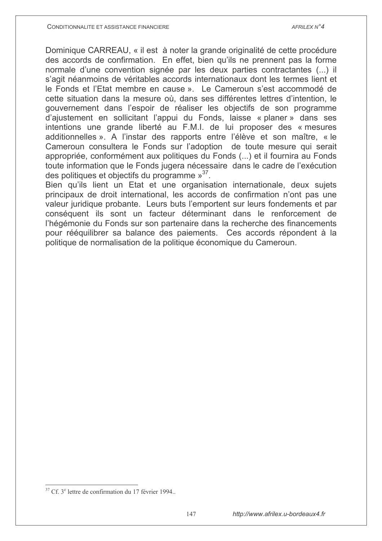Dominique CARREAU, « il est à noter la grande originalité de cette procédure des accords de confirmation. En effet, bien qu'ils ne prennent pas la forme normale d'une convention signée par les deux parties contractantes (...) il s'agit néanmoins de véritables accords internationaux dont les termes lient et le Fonds et l'Etat membre en cause ». Le Cameroun s'est accommodé de cette situation dans la mesure où, dans ses différentes lettres d'intention, le gouvernement dans l'espoir de réaliser les objectifs de son programme d'aiustement en sollicitant l'appui du Fonds, laisse « planer » dans ses intentions une grande liberté au F.M.I. de lui proposer des « mesures additionnelles ». A l'instar des rapports entre l'élève et son maître, « le Cameroun consultera le Fonds sur l'adoption de toute mesure qui serait appropriée, conformément aux politiques du Fonds (...) et il fournira au Fonds toute information que le Fonds jugera nécessaire dans le cadre de l'exécution des politiques et objectifs du programme  $v^{37}$ .

Bien qu'ils lient un Etat et une organisation internationale, deux sujets principaux de droit international, les accords de confirmation n'ont pas une valeur juridique probante. Leurs buts l'emportent sur leurs fondements et par conséquent ils sont un facteur déterminant dans le renforcement de l'hégémonie du Fonds sur son partenaire dans la recherche des financements pour rééquilibrer sa balance des paiements. Ces accords répondent à la politique de normalisation de la politique économique du Cameroun.

<sup>&</sup>lt;sup>37</sup> Cf. 3<sup>e</sup> lettre de confirmation du 17 février 1994.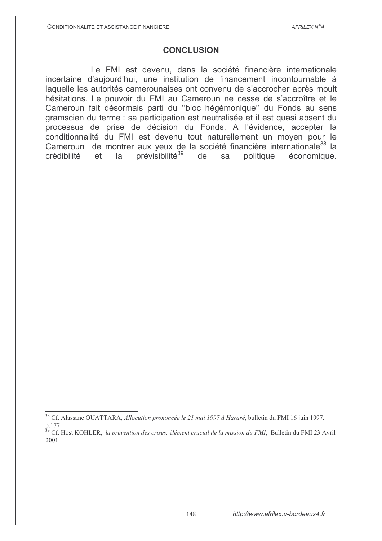### **CONCLUSION**

Le FMI est devenu, dans la société financière internationale incertaine d'aujourd'hui, une institution de financement incontournable à laquelle les autorités camerounaises ont convenu de s'accrocher après moult hésitations. Le pouvoir du FMI au Cameroun ne cesse de s'accroître et le Cameroun fait désormais parti du "bloc hégémonique" du Fonds au sens gramscien du terme : sa participation est neutralisée et il est quasi absent du processus de prise de décision du Fonds. A l'évidence, accepter la conditionnalité du FMI est devenu tout naturellement un moyen pour le Cameroun de montrer aux yeux de la société financière internationale<sup>38</sup> la prévisibilité<sup>39</sup> de politique économique. crédibilité  $et$  $l$ a sa

<sup>&</sup>lt;sup>38</sup> Cf. Alassane OUATTARA, Allocution prononcée le 21 mai 1997 à Hararé, bulletin du FMI 16 juin 1997.

p.177

<sup>&</sup>lt;sup>39</sup> Cf. Host KOHLER, *la prévention des crises, élément crucial de la mission du FMI*, Bulletin du FMI 23 Avril 2001